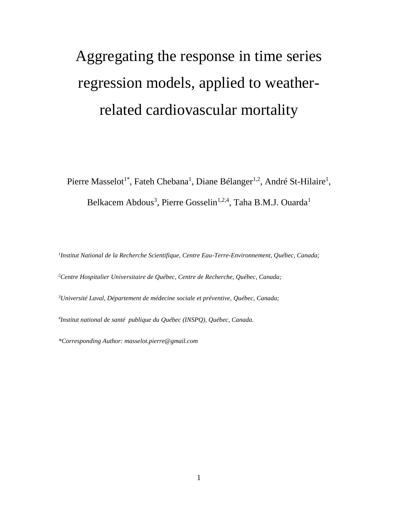# Aggregating the response in time series regression models, applied to weatherrelated cardiovascular mortality

Pierre Masselot<sup>1\*</sup>, Fateh Chebana<sup>1</sup>, Diane Bélanger<sup>1,2</sup>, André St-Hilaire<sup>1</sup>, Belkacem Abdous<sup>3</sup>, Pierre Gosselin<sup>1,2,4</sup>, Taha B.M.J. Ouarda<sup>1</sup>

*1 Institut National de la Recherche Scientifique, Centre Eau-Terre-Environnement, Québec, Canada;*

*<sup>2</sup>Centre Hospitalier Universitaire de Québec, Centre de Recherche, Québec, Canada;*

*<sup>3</sup>Université Laval, Département de médecine sociale et préventive, Québec, Canada;*

*4 Institut national de santé publique du Québec (INSPQ), Québec, Canada.*

*\*Corresponding Author: masselot.pierre@gmail.com*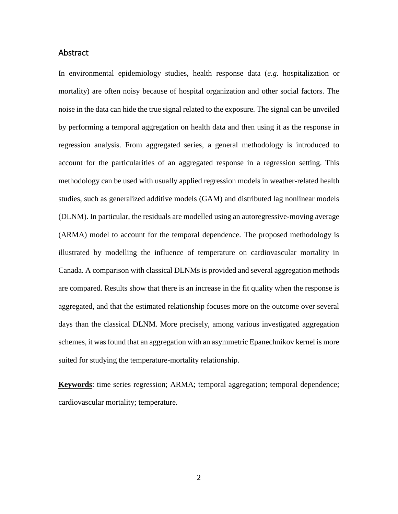## Abstract

In environmental epidemiology studies, health response data (*e.g*. hospitalization or mortality) are often noisy because of hospital organization and other social factors. The noise in the data can hide the true signal related to the exposure. The signal can be unveiled by performing a temporal aggregation on health data and then using it as the response in regression analysis. From aggregated series, a general methodology is introduced to account for the particularities of an aggregated response in a regression setting. This methodology can be used with usually applied regression models in weather-related health studies, such as generalized additive models (GAM) and distributed lag nonlinear models (DLNM). In particular, the residuals are modelled using an autoregressive-moving average (ARMA) model to account for the temporal dependence. The proposed methodology is illustrated by modelling the influence of temperature on cardiovascular mortality in Canada. A comparison with classical DLNMs is provided and several aggregation methods are compared. Results show that there is an increase in the fit quality when the response is aggregated, and that the estimated relationship focuses more on the outcome over several days than the classical DLNM. More precisely, among various investigated aggregation schemes, it was found that an aggregation with an asymmetric Epanechnikov kernel is more suited for studying the temperature-mortality relationship.

**Keywords**: time series regression; ARMA; temporal aggregation; temporal dependence; cardiovascular mortality; temperature.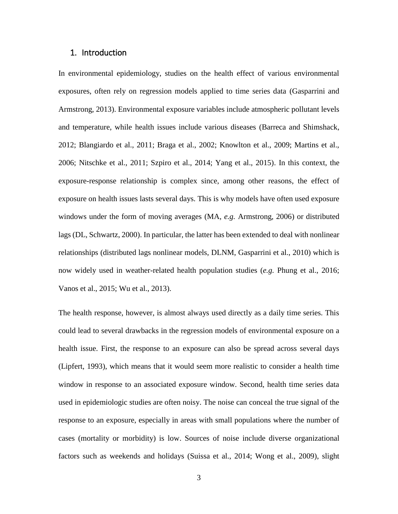## 1. Introduction

In environmental epidemiology, studies on the health effect of various environmental exposures, often rely on regression models applied to time series data (Gasparrini and Armstrong, 2013). Environmental exposure variables include atmospheric pollutant levels and temperature, while health issues include various diseases (Barreca and Shimshack, 2012; Blangiardo et al., 2011; Braga et al., 2002; Knowlton et al., 2009; Martins et al., 2006; Nitschke et al., 2011; Szpiro et al., 2014; Yang et al., 2015). In this context, the exposure-response relationship is complex since, among other reasons, the effect of exposure on health issues lasts several days. This is why models have often used exposure windows under the form of moving averages (MA, *e.g.* Armstrong, 2006) or distributed lags (DL, Schwartz, 2000). In particular, the latter has been extended to deal with nonlinear relationships (distributed lags nonlinear models, DLNM, Gasparrini et al., 2010) which is now widely used in weather-related health population studies (*e.g.* Phung et al., 2016; Vanos et al., 2015; Wu et al., 2013).

The health response, however, is almost always used directly as a daily time series. This could lead to several drawbacks in the regression models of environmental exposure on a health issue. First, the response to an exposure can also be spread across several days (Lipfert, 1993), which means that it would seem more realistic to consider a health time window in response to an associated exposure window. Second, health time series data used in epidemiologic studies are often noisy. The noise can conceal the true signal of the response to an exposure, especially in areas with small populations where the number of cases (mortality or morbidity) is low. Sources of noise include diverse organizational factors such as weekends and holidays (Suissa et al., 2014; Wong et al., 2009), slight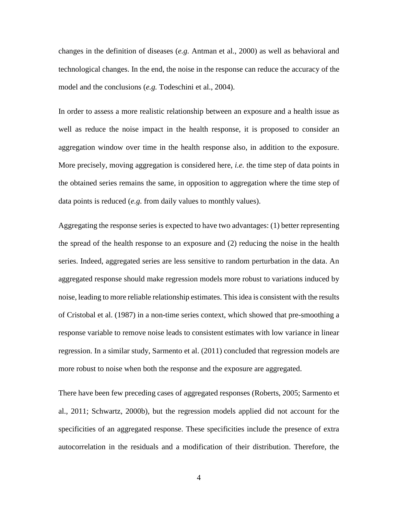changes in the definition of diseases (*e.g.* Antman et al., 2000) as well as behavioral and technological changes. In the end, the noise in the response can reduce the accuracy of the model and the conclusions (*e.g.* Todeschini et al., 2004).

In order to assess a more realistic relationship between an exposure and a health issue as well as reduce the noise impact in the health response, it is proposed to consider an aggregation window over time in the health response also, in addition to the exposure. More precisely, moving aggregation is considered here, *i.e.* the time step of data points in the obtained series remains the same, in opposition to aggregation where the time step of data points is reduced (*e.g.* from daily values to monthly values).

Aggregating the response series is expected to have two advantages: (1) better representing the spread of the health response to an exposure and (2) reducing the noise in the health series. Indeed, aggregated series are less sensitive to random perturbation in the data. An aggregated response should make regression models more robust to variations induced by noise, leading to more reliable relationship estimates. This idea is consistent with the results of Cristobal et al. (1987) in a non-time series context, which showed that pre-smoothing a response variable to remove noise leads to consistent estimates with low variance in linear regression. In a similar study, Sarmento et al. (2011) concluded that regression models are more robust to noise when both the response and the exposure are aggregated.

There have been few preceding cases of aggregated responses (Roberts, 2005; Sarmento et al., 2011; Schwartz, 2000b), but the regression models applied did not account for the specificities of an aggregated response. These specificities include the presence of extra autocorrelation in the residuals and a modification of their distribution. Therefore, the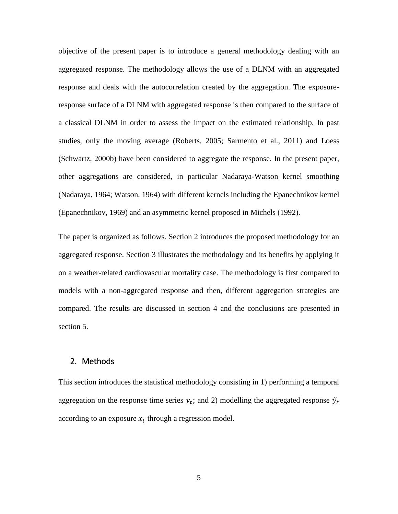objective of the present paper is to introduce a general methodology dealing with an aggregated response. The methodology allows the use of a DLNM with an aggregated response and deals with the autocorrelation created by the aggregation. The exposureresponse surface of a DLNM with aggregated response is then compared to the surface of a classical DLNM in order to assess the impact on the estimated relationship. In past studies, only the moving average (Roberts, 2005; Sarmento et al., 2011) and Loess (Schwartz, 2000b) have been considered to aggregate the response. In the present paper, other aggregations are considered, in particular Nadaraya-Watson kernel smoothing (Nadaraya, 1964; Watson, 1964) with different kernels including the Epanechnikov kernel (Epanechnikov, 1969) and an asymmetric kernel proposed in Michels (1992).

The paper is organized as follows. Section 2 introduces the proposed methodology for an aggregated response. Section 3 illustrates the methodology and its benefits by applying it on a weather-related cardiovascular mortality case. The methodology is first compared to models with a non-aggregated response and then, different aggregation strategies are compared. The results are discussed in section [4](#page-19-0) and the conclusions are presented in section 5.

# 2. Methods

This section introduces the statistical methodology consisting in 1) performing a temporal aggregation on the response time series  $y_t$ ; and 2) modelling the aggregated response  $\tilde{y}_t$ according to an exposure  $x_t$  through a regression model.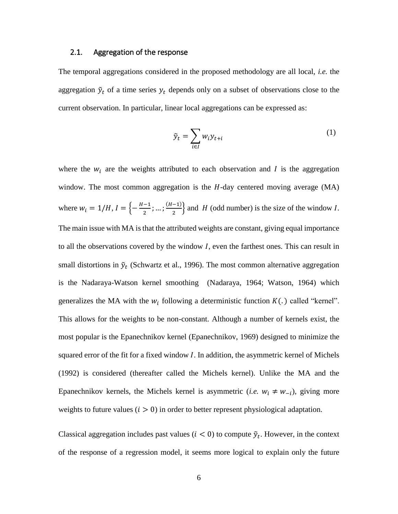#### <span id="page-5-1"></span>2.1. Aggregation of the response

The temporal aggregations considered in the proposed methodology are all local, *i.e.* the aggregation  $\tilde{y}_t$  of a time series  $y_t$  depends only on a subset of observations close to the current observation. In particular, linear local aggregations can be expressed as:

<span id="page-5-0"></span>
$$
\tilde{y}_t = \sum_{i \in I} w_i y_{t+i} \tag{1}
$$

where the  $w_i$  are the weights attributed to each observation and  $I$  is the aggregation window. The most common aggregation is the  $H$ -day centered moving average (MA) where  $w_i = 1/H$ ,  $I = \left\{-\frac{H-1}{2}\right\}$  $\frac{-1}{2}$ ; ...;  $\frac{(H-1)}{2}$  $\frac{(-1)}{2}$  and H (odd number) is the size of the window I. The main issue with MA is that the attributed weights are constant, giving equal importance to all the observations covered by the window  $I$ , even the farthest ones. This can result in small distortions in  $\tilde{y}_t$  (Schwartz et al., 1996). The most common alternative aggregation is the Nadaraya-Watson kernel smoothing (Nadaraya, 1964; Watson, 1964) which generalizes the MA with the  $w_i$  following a deterministic function  $K(.)$  called "kernel". This allows for the weights to be non-constant. Although a number of kernels exist, the most popular is the Epanechnikov kernel (Epanechnikov, 1969) designed to minimize the squared error of the fit for a fixed window  $I$ . In addition, the asymmetric kernel of Michels (1992) is considered (thereafter called the Michels kernel). Unlike the MA and the Epanechnikov kernels, the Michels kernel is asymmetric (*i.e.*  $w_i \neq w_{-i}$ ), giving more weights to future values  $(i > 0)$  in order to better represent physiological adaptation.

Classical aggregation includes past values ( $i < 0$ ) to compute  $\tilde{y}_t$ . However, in the context of the response of a regression model, it seems more logical to explain only the future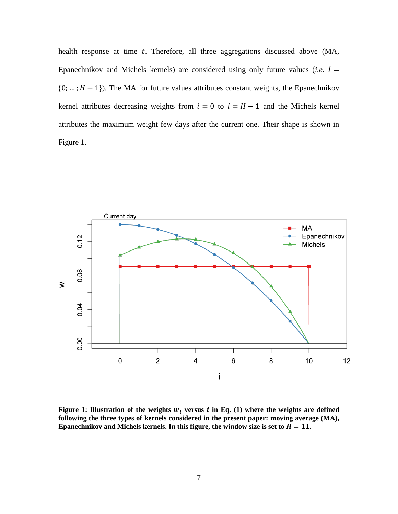health response at time  $t$ . Therefore, all three aggregations discussed above (MA, Epanechnikov and Michels kernels) are considered using only future values (*i.e.*  $I =$  ${0; \ldots; H-1}$ ). The MA for future values attributes constant weights, the Epanechnikov kernel attributes decreasing weights from  $i = 0$  to  $i = H - 1$  and the Michels kernel attributes the maximum weight few days after the current one. Their shape is shown in [Figure 1.](#page-6-0)



<span id="page-6-0"></span>**Figure 1: Illustration of the weights**  $w_i$  **versus** *i* **in Eq. (1) where the weights are defined following the three types of kernels considered in the present paper: moving average (MA), Epanechnikov and Michels kernels. In this figure, the window size is set to**  $H = 11$ **.**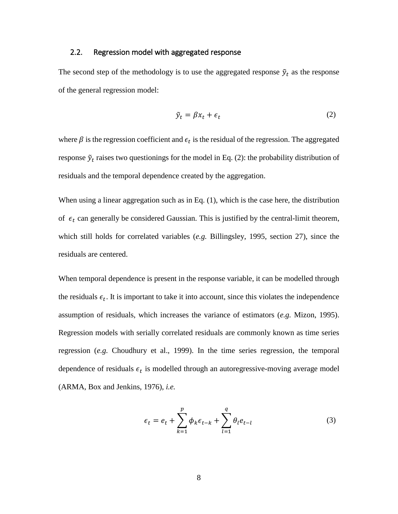#### <span id="page-7-2"></span>2.2. Regression model with aggregated response

The second step of the methodology is to use the aggregated response  $\tilde{y}_t$  as the response of the general regression model:

<span id="page-7-0"></span>
$$
\tilde{y}_t = \beta x_t + \epsilon_t \tag{2}
$$

where  $\beta$  is the regression coefficient and  $\epsilon_t$  is the residual of the regression. The aggregated response  $\tilde{y}_t$  raises two questionings for the model in Eq. [\(2\)](#page-7-0): the probability distribution of residuals and the temporal dependence created by the aggregation.

When using a linear aggregation such as in Eq. [\(1\)](#page-5-0), which is the case here, the distribution of  $\epsilon_t$  can generally be considered Gaussian. This is justified by the central-limit theorem, which still holds for correlated variables (*e.g.* Billingsley, 1995, section 27), since the residuals are centered.

When temporal dependence is present in the response variable, it can be modelled through the residuals  $\epsilon_t$ . It is important to take it into account, since this violates the independence assumption of residuals, which increases the variance of estimators (*e.g.* Mizon, 1995). Regression models with serially correlated residuals are commonly known as time series regression (*e.g.* Choudhury et al., 1999). In the time series regression, the temporal dependence of residuals  $\epsilon_t$  is modelled through an autoregressive-moving average model (ARMA, Box and Jenkins, 1976), *i.e.*

<span id="page-7-1"></span>
$$
\epsilon_t = e_t + \sum_{k=1}^p \phi_k \epsilon_{t-k} + \sum_{l=1}^q \theta_l e_{t-l}
$$
\n(3)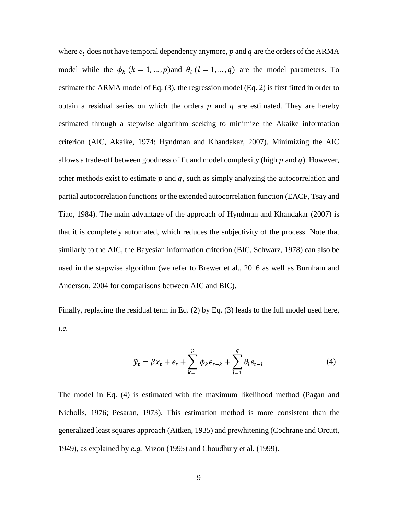where  $e_t$  does not have temporal dependency anymore,  $p$  and  $q$  are the orders of the ARMA model while the  $\phi_k$  ( $k = 1, ..., p$ ) and  $\theta_l$  ( $l = 1, ..., q$ ) are the model parameters. To estimate the ARMA model of Eq. [\(3\)](#page-7-1), the regression model (Eq. [2\)](#page-7-0) is first fitted in order to obtain a residual series on which the orders  $p$  and  $q$  are estimated. They are hereby estimated through a stepwise algorithm seeking to minimize the Akaike information criterion (AIC, Akaike, 1974; Hyndman and Khandakar, 2007). Minimizing the AIC allows a trade-off between goodness of fit and model complexity (high  $p$  and  $q$ ). However, other methods exist to estimate  $p$  and  $q$ , such as simply analyzing the autocorrelation and partial autocorrelation functions or the extended autocorrelation function (EACF, Tsay and Tiao, 1984). The main advantage of the approach of Hyndman and Khandakar (2007) is that it is completely automated, which reduces the subjectivity of the process. Note that similarly to the AIC, the Bayesian information criterion (BIC, Schwarz, 1978) can also be used in the stepwise algorithm (we refer to Brewer et al., 2016 as well as Burnham and Anderson, 2004 for comparisons between AIC and BIC).

Finally, replacing the residual term in Eq. [\(2\)](#page-7-0) by Eq. [\(3\)](#page-7-1) leads to the full model used here, *i.e.*

<span id="page-8-0"></span>
$$
\tilde{y}_t = \beta x_t + e_t + \sum_{k=1}^p \phi_k \epsilon_{t-k} + \sum_{l=1}^q \theta_l e_{t-l}
$$
\n(4)

The model in Eq. [\(4\)](#page-8-0) is estimated with the maximum likelihood method (Pagan and Nicholls, 1976; Pesaran, 1973). This estimation method is more consistent than the generalized least squares approach (Aitken, 1935) and prewhitening (Cochrane and Orcutt, 1949), as explained by *e.g.* Mizon (1995) and Choudhury et al. (1999).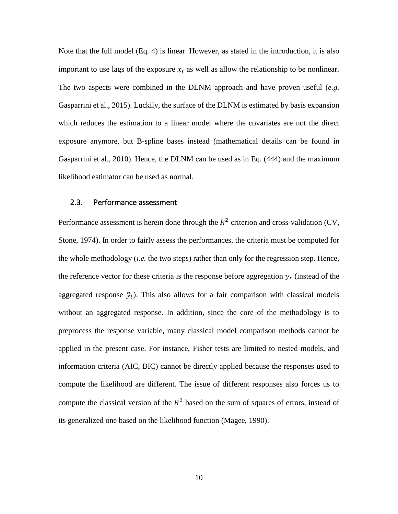Note that the full model (Eq. [4\)](#page-8-0) is linear. However, as stated in the introduction, it is also important to use lags of the exposure  $x_t$  as well as allow the relationship to be nonlinear. The two aspects were combined in the DLNM approach and have proven useful (*e.g.* Gasparrini et al., 2015). Luckily, the surface of the DLNM is estimated by basis expansion which reduces the estimation to a linear model where the covariates are not the direct exposure anymore, but B-spline bases instead (mathematical details can be found in Gasparrini et al., 2010). Hence, the DLNM can be used as in Eq. [\(444\)](#page-8-0) and the maximum likelihood estimator can be used as normal.

## <span id="page-9-0"></span>2.3. Performance assessment

Performance assessment is herein done through the  $R^2$  criterion and cross-validation (CV, Stone, 1974). In order to fairly assess the performances, the criteria must be computed for the whole methodology (*i.e.* the two steps) rather than only for the regression step. Hence, the reference vector for these criteria is the response before aggregation  $y_t$  (instead of the aggregated response  $\tilde{y}_t$ ). This also allows for a fair comparison with classical models without an aggregated response. In addition, since the core of the methodology is to preprocess the response variable, many classical model comparison methods cannot be applied in the present case. For instance, Fisher tests are limited to nested models, and information criteria (AIC, BIC) cannot be directly applied because the responses used to compute the likelihood are different. The issue of different responses also forces us to compute the classical version of the  $R^2$  based on the sum of squares of errors, instead of its generalized one based on the likelihood function (Magee, 1990).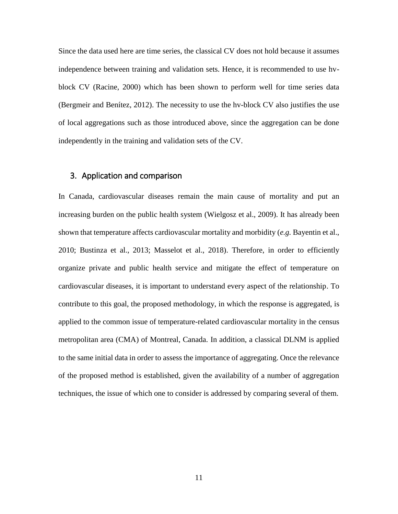Since the data used here are time series, the classical CV does not hold because it assumes independence between training and validation sets. Hence, it is recommended to use hvblock CV (Racine, 2000) which has been shown to perform well for time series data (Bergmeir and Benítez, 2012). The necessity to use the hv-block CV also justifies the use of local aggregations such as those introduced above, since the aggregation can be done independently in the training and validation sets of the CV.

# 3. Application and comparison

In Canada, cardiovascular diseases remain the main cause of mortality and put an increasing burden on the public health system (Wielgosz et al., 2009). It has already been shown that temperature affects cardiovascular mortality and morbidity (*e.g.* Bayentin et al., 2010; Bustinza et al., 2013; Masselot et al., 2018). Therefore, in order to efficiently organize private and public health service and mitigate the effect of temperature on cardiovascular diseases, it is important to understand every aspect of the relationship. To contribute to this goal, the proposed methodology, in which the response is aggregated, is applied to the common issue of temperature-related cardiovascular mortality in the census metropolitan area (CMA) of Montreal, Canada. In addition, a classical DLNM is applied to the same initial data in order to assess the importance of aggregating. Once the relevance of the proposed method is established, given the availability of a number of aggregation techniques, the issue of which one to consider is addressed by comparing several of them.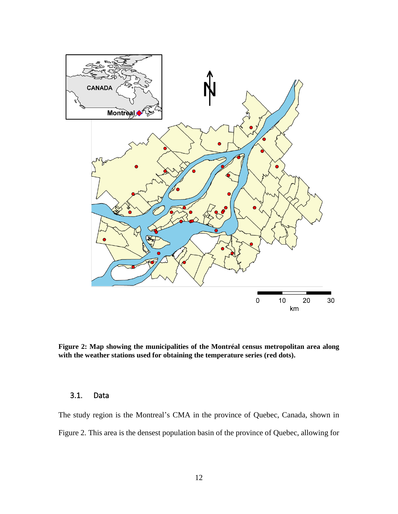

<span id="page-11-0"></span>**Figure 2: Map showing the municipalities of the Montréal census metropolitan area along with the weather stations used for obtaining the temperature series (red dots).**

# 3.1. Data

The study region is the Montreal's CMA in the province of Quebec, Canada, shown in [Figure 2.](#page-11-0) This area is the densest population basin of the province of Quebec, allowing for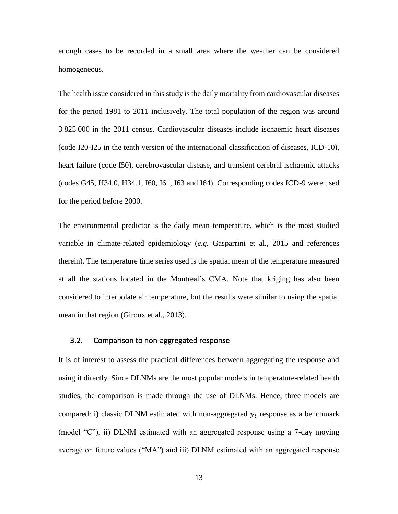enough cases to be recorded in a small area where the weather can be considered homogeneous.

The health issue considered in this study is the daily mortality from cardiovascular diseases for the period 1981 to 2011 inclusively. The total population of the region was around 3 825 000 in the 2011 census. Cardiovascular diseases include ischaemic heart diseases (code I20-I25 in the tenth version of the international classification of diseases, ICD-10), heart failure (code I50), cerebrovascular disease, and transient cerebral ischaemic attacks (codes G45, H34.0, H34.1, I60, I61, I63 and I64). Corresponding codes ICD-9 were used for the period before 2000.

The environmental predictor is the daily mean temperature, which is the most studied variable in climate-related epidemiology (*e.g.* Gasparrini et al., 2015 and references therein). The temperature time series used is the spatial mean of the temperature measured at all the stations located in the Montreal's CMA. Note that kriging has also been considered to interpolate air temperature, but the results were similar to using the spatial mean in that region (Giroux et al., 2013).

## <span id="page-12-0"></span>3.2. Comparison to non-aggregated response

It is of interest to assess the practical differences between aggregating the response and using it directly. Since DLNMs are the most popular models in temperature-related health studies, the comparison is made through the use of DLNMs. Hence, three models are compared: i) classic DLNM estimated with non-aggregated  $y_t$  response as a benchmark (model "C"), ii) DLNM estimated with an aggregated response using a 7-day moving average on future values ("MA") and iii) DLNM estimated with an aggregated response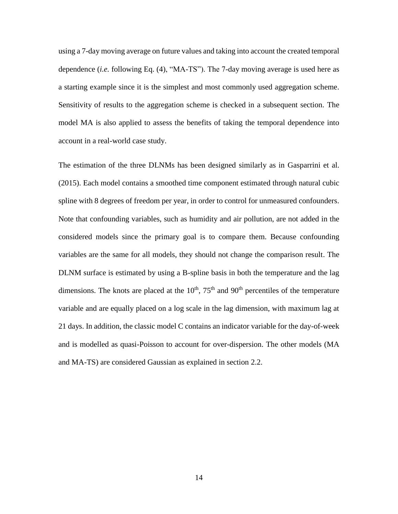using a 7-day moving average on future values and taking into account the created temporal dependence (*i.e.* following Eq. [\(4\)](#page-8-0), "MA-TS"). The 7-day moving average is used here as a starting example since it is the simplest and most commonly used aggregation scheme. Sensitivity of results to the aggregation scheme is checked in a subsequent section. The model MA is also applied to assess the benefits of taking the temporal dependence into account in a real-world case study.

The estimation of the three DLNMs has been designed similarly as in Gasparrini et al. (2015). Each model contains a smoothed time component estimated through natural cubic spline with 8 degrees of freedom per year, in order to control for unmeasured confounders. Note that confounding variables, such as humidity and air pollution, are not added in the considered models since the primary goal is to compare them. Because confounding variables are the same for all models, they should not change the comparison result. The DLNM surface is estimated by using a B-spline basis in both the temperature and the lag dimensions. The knots are placed at the  $10<sup>th</sup>$ ,  $75<sup>th</sup>$  and  $90<sup>th</sup>$  percentiles of the temperature variable and are equally placed on a log scale in the lag dimension, with maximum lag at 21 days. In addition, the classic model C contains an indicator variable for the day-of-week and is modelled as quasi-Poisson to account for over-dispersion. The other models (MA and MA-TS) are considered Gaussian as explained in section [2.2.](#page-7-2)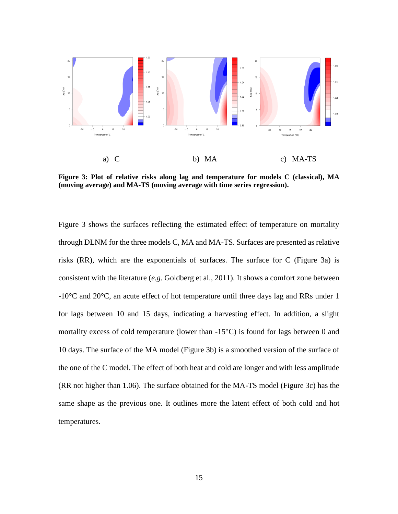

<span id="page-14-0"></span>**Figure 3: Plot of relative risks along lag and temperature for models C (classical), MA (moving average) and MA-TS (moving average with time series regression).**

[Figure 3](#page-14-0) shows the surfaces reflecting the estimated effect of temperature on mortality through DLNM for the three models C, MA and MA-TS. Surfaces are presented as relative risks (RR), which are the exponentials of surfaces. The surface for C [\(Figure 3a](#page-14-0)) is consistent with the literature (*e.g.* Goldberg et al., 2011). It shows a comfort zone between -10°C and 20°C, an acute effect of hot temperature until three days lag and RRs under 1 for lags between 10 and 15 days, indicating a harvesting effect. In addition, a slight mortality excess of cold temperature (lower than  $-15^{\circ}$ C) is found for lags between 0 and 10 days. The surface of the MA model [\(Figure 3b](#page-14-0)) is a smoothed version of the surface of the one of the C model. The effect of both heat and cold are longer and with less amplitude (RR not higher than 1.06). The surface obtained for the MA-TS model [\(Figure 3c](#page-14-0)) has the same shape as the previous one. It outlines more the latent effect of both cold and hot temperatures.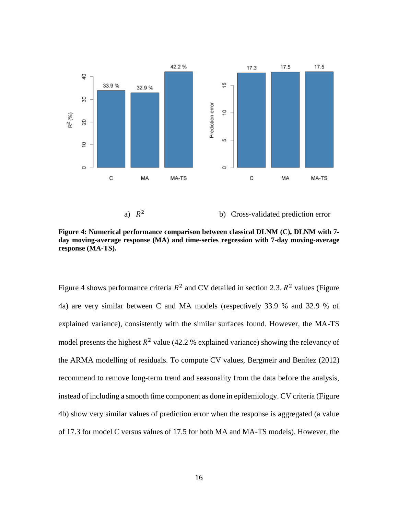

<span id="page-15-0"></span>**Figure 4: Numerical performance comparison between classical DLNM (C), DLNM with 7 day moving-average response (MA) and time-series regression with 7-day moving-average response (MA-TS).**

[Figure 4](#page-15-0) shows performance criteria  $R^2$  and CV detailed in section [2.3.](#page-9-0)  $R^2$  values (Figure [4a](#page-15-0)) are very similar between C and MA models (respectively 33.9 % and 32.9 % of explained variance), consistently with the similar surfaces found. However, the MA-TS model presents the highest  $R^2$  value (42.2 % explained variance) showing the relevancy of the ARMA modelling of residuals. To compute CV values, Bergmeir and Benítez (2012) recommend to remove long-term trend and seasonality from the data before the analysis, instead of including a smooth time component as done in epidemiology. CV criteria [\(Figure](#page-15-0)  [4b](#page-15-0)) show very similar values of prediction error when the response is aggregated (a value of 17.3 for model C versus values of 17.5 for both MA and MA-TS models). However, the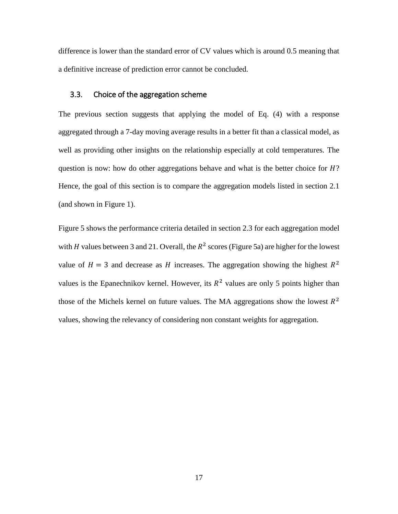difference is lower than the standard error of CV values which is around 0.5 meaning that a definitive increase of prediction error cannot be concluded.

# 3.3. Choice of the aggregation scheme

The previous section suggests that applying the model of Eq. [\(4\)](#page-8-0) with a response aggregated through a 7-day moving average results in a better fit than a classical model, as well as providing other insights on the relationship especially at cold temperatures. The question is now: how do other aggregations behave and what is the better choice for  $H$ ? Hence, the goal of this section is to compare the aggregation models listed in section [2.1](#page-5-1) (and shown in [Figure 1\)](#page-6-0).

[Figure 5](#page-17-0) shows the performance criteria detailed in section [2.3](#page-9-0) for each aggregation model with *H* values between 3 and 21. Overall, the  $R^2$  scores [\(Figure 5a](#page-17-0)) are higher for the lowest value of  $H = 3$  and decrease as H increases. The aggregation showing the highest  $R^2$ values is the Epanechnikov kernel. However, its  $R^2$  values are only 5 points higher than those of the Michels kernel on future values. The MA aggregations show the lowest  $R^2$ values, showing the relevancy of considering non constant weights for aggregation.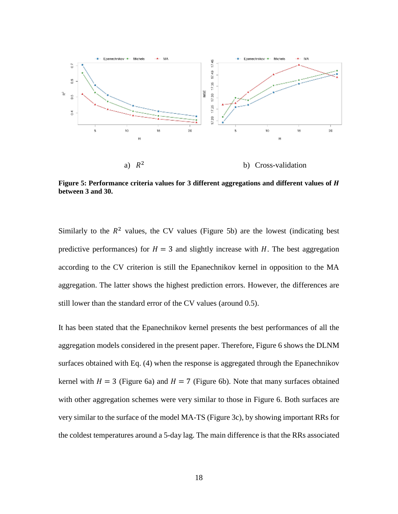

<span id="page-17-0"></span>**Figure 5: Performance criteria values for 3 different aggregations and different values of between 3 and 30.**

Similarly to the  $R<sup>2</sup>$  values, the CV values [\(Figure 5b](#page-17-0)) are the lowest (indicating best predictive performances) for  $H = 3$  and slightly increase with H. The best aggregation according to the CV criterion is still the Epanechnikov kernel in opposition to the MA aggregation. The latter shows the highest prediction errors. However, the differences are still lower than the standard error of the CV values (around 0.5).

It has been stated that the Epanechnikov kernel presents the best performances of all the aggregation models considered in the present paper. Therefore, [Figure 6](#page-18-0) shows the DLNM surfaces obtained with Eq. [\(4\)](#page-8-0) when the response is aggregated through the Epanechnikov kernel with  $H = 3$  [\(Figure 6a](#page-18-0)) and  $H = 7$  [\(Figure 6b](#page-18-0)). Note that many surfaces obtained with other aggregation schemes were very similar to those in [Figure 6.](#page-18-0) Both surfaces are very similar to the surface of the model MA-TS [\(Figure 3c](#page-14-0)), by showing important RRs for the coldest temperatures around a 5-day lag. The main difference is that the RRs associated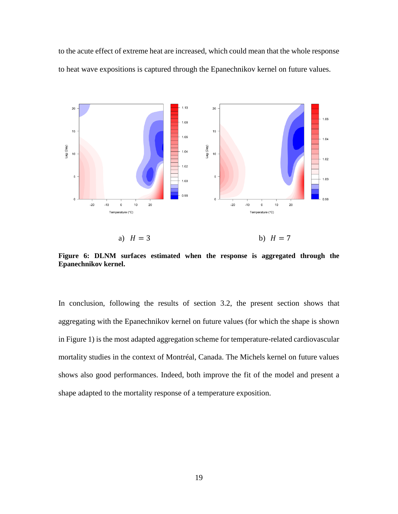to the acute effect of extreme heat are increased, which could mean that the whole response to heat wave expositions is captured through the Epanechnikov kernel on future values.



a)  $H = 3$  b)  $H = 7$ 

<span id="page-18-0"></span>**Figure 6: DLNM surfaces estimated when the response is aggregated through the Epanechnikov kernel.**

In conclusion, following the results of section [3.2,](#page-12-0) the present section shows that aggregating with the Epanechnikov kernel on future values (for which the shape is shown i[n Figure 1\)](#page-6-0) is the most adapted aggregation scheme for temperature-related cardiovascular mortality studies in the context of Montréal, Canada. The Michels kernel on future values shows also good performances. Indeed, both improve the fit of the model and present a shape adapted to the mortality response of a temperature exposition.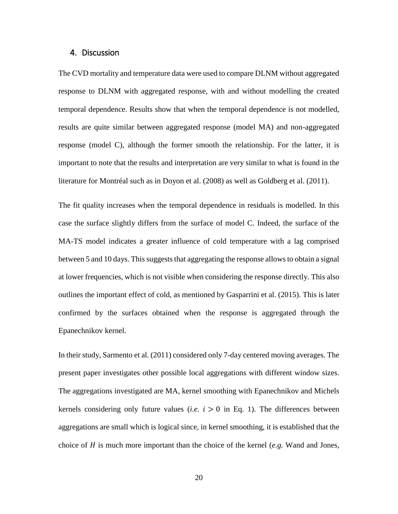## <span id="page-19-0"></span>4. Discussion

The CVD mortality and temperature data were used to compare DLNM without aggregated response to DLNM with aggregated response, with and without modelling the created temporal dependence. Results show that when the temporal dependence is not modelled, results are quite similar between aggregated response (model MA) and non-aggregated response (model C), although the former smooth the relationship. For the latter, it is important to note that the results and interpretation are very similar to what is found in the literature for Montréal such as in Doyon et al. (2008) as well as Goldberg et al. (2011).

The fit quality increases when the temporal dependence in residuals is modelled. In this case the surface slightly differs from the surface of model C. Indeed, the surface of the MA-TS model indicates a greater influence of cold temperature with a lag comprised between 5 and 10 days. This suggests that aggregating the response allows to obtain a signal at lower frequencies, which is not visible when considering the response directly. This also outlines the important effect of cold, as mentioned by Gasparrini et al. (2015). This is later confirmed by the surfaces obtained when the response is aggregated through the Epanechnikov kernel.

In their study, Sarmento et al. (2011) considered only 7-day centered moving averages. The present paper investigates other possible local aggregations with different window sizes. The aggregations investigated are MA, kernel smoothing with Epanechnikov and Michels kernels considering only future values (*i.e.*  $i > 0$  in Eq. [1\)](#page-5-0). The differences between aggregations are small which is logical since, in kernel smoothing, it is established that the choice of  $H$  is much more important than the choice of the kernel (*e.g.* Wand and Jones,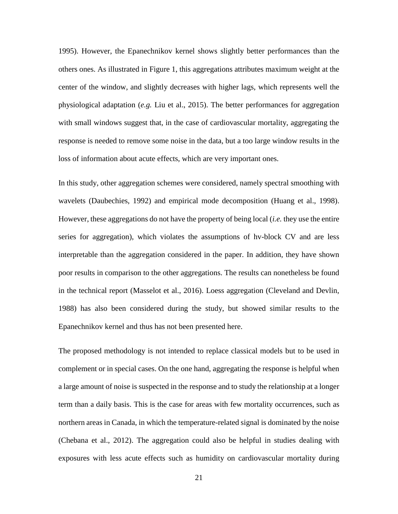1995). However, the Epanechnikov kernel shows slightly better performances than the others ones. As illustrated in [Figure 1,](#page-6-0) this aggregations attributes maximum weight at the center of the window, and slightly decreases with higher lags, which represents well the physiological adaptation (*e.g.* Liu et al., 2015). The better performances for aggregation with small windows suggest that, in the case of cardiovascular mortality, aggregating the response is needed to remove some noise in the data, but a too large window results in the loss of information about acute effects, which are very important ones.

In this study, other aggregation schemes were considered, namely spectral smoothing with wavelets (Daubechies, 1992) and empirical mode decomposition (Huang et al., 1998). However, these aggregations do not have the property of being local (*i.e.* they use the entire series for aggregation), which violates the assumptions of hv-block CV and are less interpretable than the aggregation considered in the paper. In addition, they have shown poor results in comparison to the other aggregations. The results can nonetheless be found in the technical report (Masselot et al., 2016). Loess aggregation (Cleveland and Devlin, 1988) has also been considered during the study, but showed similar results to the Epanechnikov kernel and thus has not been presented here.

The proposed methodology is not intended to replace classical models but to be used in complement or in special cases. On the one hand, aggregating the response is helpful when a large amount of noise is suspected in the response and to study the relationship at a longer term than a daily basis. This is the case for areas with few mortality occurrences, such as northern areas in Canada, in which the temperature-related signal is dominated by the noise (Chebana et al., 2012). The aggregation could also be helpful in studies dealing with exposures with less acute effects such as humidity on cardiovascular mortality during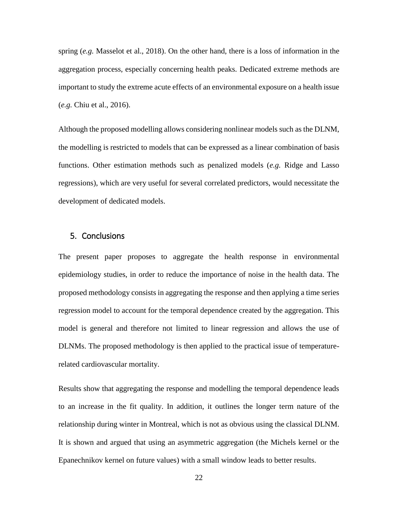spring (*e.g.* Masselot et al., 2018). On the other hand, there is a loss of information in the aggregation process, especially concerning health peaks. Dedicated extreme methods are important to study the extreme acute effects of an environmental exposure on a health issue (*e.g.* Chiu et al., 2016).

Although the proposed modelling allows considering nonlinear models such as the DLNM, the modelling is restricted to models that can be expressed as a linear combination of basis functions. Other estimation methods such as penalized models (*e.g.* Ridge and Lasso regressions), which are very useful for several correlated predictors, would necessitate the development of dedicated models.

# 5. Conclusions

The present paper proposes to aggregate the health response in environmental epidemiology studies, in order to reduce the importance of noise in the health data. The proposed methodology consists in aggregating the response and then applying a time series regression model to account for the temporal dependence created by the aggregation. This model is general and therefore not limited to linear regression and allows the use of DLNMs. The proposed methodology is then applied to the practical issue of temperaturerelated cardiovascular mortality.

Results show that aggregating the response and modelling the temporal dependence leads to an increase in the fit quality. In addition, it outlines the longer term nature of the relationship during winter in Montreal, which is not as obvious using the classical DLNM. It is shown and argued that using an asymmetric aggregation (the Michels kernel or the Epanechnikov kernel on future values) with a small window leads to better results.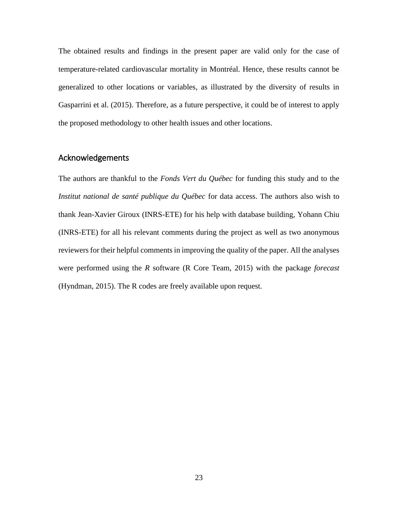The obtained results and findings in the present paper are valid only for the case of temperature-related cardiovascular mortality in Montréal. Hence, these results cannot be generalized to other locations or variables, as illustrated by the diversity of results in Gasparrini et al. (2015). Therefore, as a future perspective, it could be of interest to apply the proposed methodology to other health issues and other locations.

# Acknowledgements

The authors are thankful to the *Fonds Vert du Québec* for funding this study and to the *Institut national de santé publique du Québec* for data access. The authors also wish to thank Jean-Xavier Giroux (INRS-ETE) for his help with database building, Yohann Chiu (INRS-ETE) for all his relevant comments during the project as well as two anonymous reviewers for their helpful comments in improving the quality of the paper. All the analyses were performed using the *R* software (R Core Team, 2015) with the package *forecast* (Hyndman, 2015). The R codes are freely available upon request.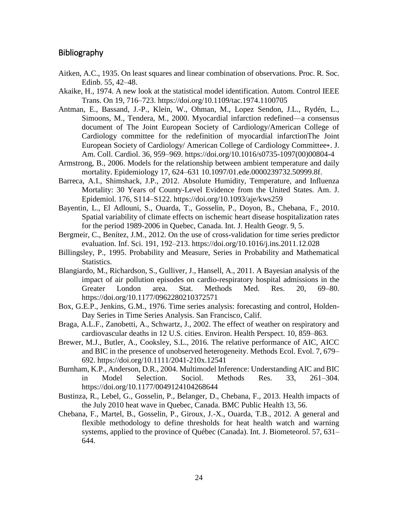# Bibliography

- Aitken, A.C., 1935. On least squares and linear combination of observations. Proc. R. Soc. Edinb. 55, 42–48.
- Akaike, H., 1974. A new look at the statistical model identification. Autom. Control IEEE Trans. On 19, 716–723. https://doi.org/10.1109/tac.1974.1100705
- Antman, E., Bassand, J.-P., Klein, W., Ohman, M., Lopez Sendon, J.L., Rydén, L., Simoons, M., Tendera, M., 2000. Myocardial infarction redefined—a consensus document of The Joint European Society of Cardiology/American College of Cardiology committee for the redefinition of myocardial infarctionThe Joint European Society of Cardiology/ American College of Cardiology Committee∗. J. Am. Coll. Cardiol. 36, 959–969. https://doi.org/10.1016/s0735-1097(00)00804-4
- Armstrong, B., 2006. Models for the relationship between ambient temperature and daily mortality. Epidemiology 17, 624–631 10.1097/01.ede.0000239732.50999.8f.
- Barreca, A.I., Shimshack, J.P., 2012. Absolute Humidity, Temperature, and Influenza Mortality: 30 Years of County-Level Evidence from the United States. Am. J. Epidemiol. 176, S114–S122. https://doi.org/10.1093/aje/kws259
- Bayentin, L., El Adlouni, S., Ouarda, T., Gosselin, P., Doyon, B., Chebana, F., 2010. Spatial variability of climate effects on ischemic heart disease hospitalization rates for the period 1989-2006 in Quebec, Canada. Int. J. Health Geogr. 9, 5.
- Bergmeir, C., Benítez, J.M., 2012. On the use of cross-validation for time series predictor evaluation. Inf. Sci. 191, 192–213. https://doi.org/10.1016/j.ins.2011.12.028
- Billingsley, P., 1995. Probability and Measure, Series in Probability and Mathematical Statistics.
- Blangiardo, M., Richardson, S., Gulliver, J., Hansell, A., 2011. A Bayesian analysis of the impact of air pollution episodes on cardio-respiratory hospital admissions in the Greater London area. Stat. Methods Med. Res. 20, 69–80. https://doi.org/10.1177/0962280210372571
- Box, G.E.P., Jenkins, G.M., 1976. Time series analysis: forecasting and control, Holden-Day Series in Time Series Analysis. San Francisco, Calif.
- Braga, A.L.F., Zanobetti, A., Schwartz, J., 2002. The effect of weather on respiratory and cardiovascular deaths in 12 U.S. cities. Environ. Health Perspect. 10, 859–863.
- Brewer, M.J., Butler, A., Cooksley, S.L., 2016. The relative performance of AIC, AICC and BIC in the presence of unobserved heterogeneity. Methods Ecol. Evol. 7, 679– 692. https://doi.org/10.1111/2041-210x.12541
- Burnham, K.P., Anderson, D.R., 2004. Multimodel Inference: Understanding AIC and BIC in Model Selection. Sociol. Methods Res. 33, 261–304. https://doi.org/10.1177/0049124104268644
- Bustinza, R., Lebel, G., Gosselin, P., Belanger, D., Chebana, F., 2013. Health impacts of the July 2010 heat wave in Quebec, Canada. BMC Public Health 13, 56.
- Chebana, F., Martel, B., Gosselin, P., Giroux, J.-X., Ouarda, T.B., 2012. A general and flexible methodology to define thresholds for heat health watch and warning systems, applied to the province of Québec (Canada). Int. J. Biometeorol. 57, 631– 644.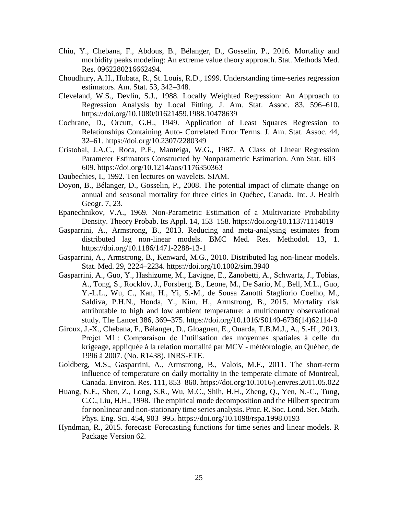- Chiu, Y., Chebana, F., Abdous, B., Bélanger, D., Gosselin, P., 2016. Mortality and morbidity peaks modeling: An extreme value theory approach. Stat. Methods Med. Res. 0962280216662494.
- Choudhury, A.H., Hubata, R., St. Louis, R.D., 1999. Understanding time-series regression estimators. Am. Stat. 53, 342–348.
- Cleveland, W.S., Devlin, S.J., 1988. Locally Weighted Regression: An Approach to Regression Analysis by Local Fitting. J. Am. Stat. Assoc. 83, 596–610. https://doi.org/10.1080/01621459.1988.10478639
- Cochrane, D., Orcutt, G.H., 1949. Application of Least Squares Regression to Relationships Containing Auto- Correlated Error Terms. J. Am. Stat. Assoc. 44, 32–61. https://doi.org/10.2307/2280349
- Cristobal, J.A.C., Roca, P.F., Manteiga, W.G., 1987. A Class of Linear Regression Parameter Estimators Constructed by Nonparametric Estimation. Ann Stat. 603– 609. https://doi.org/10.1214/aos/1176350363
- Daubechies, I., 1992. Ten lectures on wavelets. SIAM.
- Doyon, B., Bélanger, D., Gosselin, P., 2008. The potential impact of climate change on annual and seasonal mortality for three cities in Québec, Canada. Int. J. Health Geogr. 7, 23.
- Epanechnikov, V.A., 1969. Non-Parametric Estimation of a Multivariate Probability Density. Theory Probab. Its Appl. 14, 153–158. https://doi.org/10.1137/1114019
- Gasparrini, A., Armstrong, B., 2013. Reducing and meta-analysing estimates from distributed lag non-linear models. BMC Med. Res. Methodol. 13, 1. https://doi.org/10.1186/1471-2288-13-1
- Gasparrini, A., Armstrong, B., Kenward, M.G., 2010. Distributed lag non-linear models. Stat. Med. 29, 2224–2234. https://doi.org/10.1002/sim.3940
- Gasparrini, A., Guo, Y., Hashizume, M., Lavigne, E., Zanobetti, A., Schwartz, J., Tobias, A., Tong, S., Rocklöv, J., Forsberg, B., Leone, M., De Sario, M., Bell, M.L., Guo, Y.-L.L., Wu, C., Kan, H., Yi, S.-M., de Sousa Zanotti Stagliorio Coelho, M., Saldiva, P.H.N., Honda, Y., Kim, H., Armstrong, B., 2015. Mortality risk attributable to high and low ambient temperature: a multicountry observational study. The Lancet 386, 369–375. https://doi.org/10.1016/S0140-6736(14)62114-0
- Giroux, J.-X., Chebana, F., Bélanger, D., Gloaguen, E., Ouarda, T.B.M.J., A., S.-H., 2013. Projet M1 : Comparaison de l'utilisation des moyennes spatiales à celle du krigeage, appliquée à la relation mortalité par MCV - météorologie, au Québec, de 1996 à 2007. (No. R1438). INRS-ETE.
- Goldberg, M.S., Gasparrini, A., Armstrong, B., Valois, M.F., 2011. The short-term influence of temperature on daily mortality in the temperate climate of Montreal, Canada. Environ. Res. 111, 853–860. https://doi.org/10.1016/j.envres.2011.05.022
- Huang, N.E., Shen, Z., Long, S.R., Wu, M.C., Shih, H.H., Zheng, Q., Yen, N.-C., Tung, C.C., Liu, H.H., 1998. The empirical mode decomposition and the Hilbert spectrum for nonlinear and non-stationary time series analysis. Proc. R. Soc. Lond. Ser. Math. Phys. Eng. Sci. 454, 903–995. https://doi.org/10.1098/rspa.1998.0193
- Hyndman, R., 2015. forecast: Forecasting functions for time series and linear models. R Package Version 62.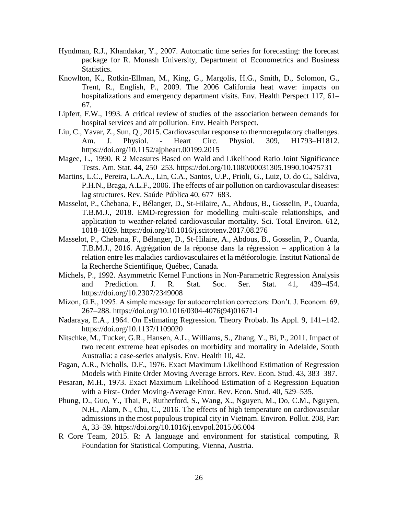- Hyndman, R.J., Khandakar, Y., 2007. Automatic time series for forecasting: the forecast package for R. Monash University, Department of Econometrics and Business Statistics.
- Knowlton, K., Rotkin-Ellman, M., King, G., Margolis, H.G., Smith, D., Solomon, G., Trent, R., English, P., 2009. The 2006 California heat wave: impacts on hospitalizations and emergency department visits. Env. Health Perspect 117, 61– 67.
- Lipfert, F.W., 1993. A critical review of studies of the association between demands for hospital services and air pollution. Env. Health Perspect.
- Liu, C., Yavar, Z., Sun, Q., 2015. Cardiovascular response to thermoregulatory challenges. Am. J. Physiol. - Heart Circ. Physiol. 309, H1793–H1812. https://doi.org/10.1152/ajpheart.00199.2015
- Magee, L., 1990. R 2 Measures Based on Wald and Likelihood Ratio Joint Significance Tests. Am. Stat. 44, 250–253. https://doi.org/10.1080/00031305.1990.10475731
- Martins, L.C., Pereira, L.A.A., Lin, C.A., Santos, U.P., Prioli, G., Luiz, O. do C., Saldiva, P.H.N., Braga, A.L.F., 2006. The effects of air pollution on cardiovascular diseases: lag structures. Rev. Saúde Pública 40, 677–683.
- Masselot, P., Chebana, F., Bélanger, D., St-Hilaire, A., Abdous, B., Gosselin, P., Ouarda, T.B.M.J., 2018. EMD-regression for modelling multi-scale relationships, and application to weather-related cardiovascular mortality. Sci. Total Environ. 612, 1018–1029. https://doi.org/10.1016/j.scitotenv.2017.08.276
- Masselot, P., Chebana, F., Bélanger, D., St-Hilaire, A., Abdous, B., Gosselin, P., Ouarda, T.B.M.J., 2016. Agrégation de la réponse dans la régression – application à la relation entre les maladies cardiovasculaires et la météorologie. Institut National de la Recherche Scientifique, Québec, Canada.
- Michels, P., 1992. Asymmetric Kernel Functions in Non-Parametric Regression Analysis and Prediction. J. R. Stat. Soc. Ser. Stat. 41, 439–454. https://doi.org/10.2307/2349008
- Mizon, G.E., 1995. A simple message for autocorrelation correctors: Don't. J. Econom. 69, 267–288. https://doi.org/10.1016/0304-4076(94)01671-l
- Nadaraya, E.A., 1964. On Estimating Regression. Theory Probab. Its Appl. 9, 141–142. https://doi.org/10.1137/1109020
- Nitschke, M., Tucker, G.R., Hansen, A.L., Williams, S., Zhang, Y., Bi, P., 2011. Impact of two recent extreme heat episodes on morbidity and mortality in Adelaide, South Australia: a case-series analysis. Env. Health 10, 42.
- Pagan, A.R., Nicholls, D.F., 1976. Exact Maximum Likelihood Estimation of Regression Models with Finite Order Moving Average Errors. Rev. Econ. Stud. 43, 383–387.
- Pesaran, M.H., 1973. Exact Maximum Likelihood Estimation of a Regression Equation with a First- Order Moving-Average Error. Rev. Econ. Stud. 40, 529–535.
- Phung, D., Guo, Y., Thai, P., Rutherford, S., Wang, X., Nguyen, M., Do, C.M., Nguyen, N.H., Alam, N., Chu, C., 2016. The effects of high temperature on cardiovascular admissions in the most populous tropical city in Vietnam. Environ. Pollut. 208, Part A, 33–39. https://doi.org/10.1016/j.envpol.2015.06.004
- R Core Team, 2015. R: A language and environment for statistical computing. R Foundation for Statistical Computing, Vienna, Austria.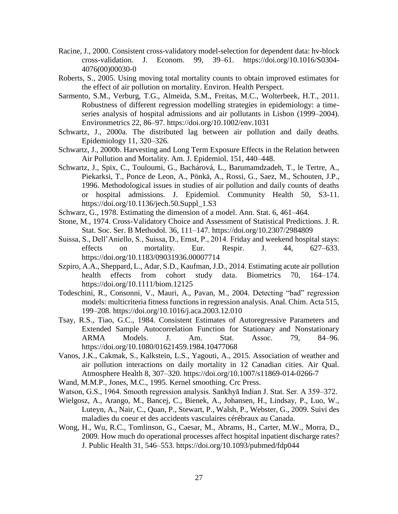- Racine, J., 2000. Consistent cross-validatory model-selection for dependent data: hv-block cross-validation. J. Econom. 99, 39–61. https://doi.org/10.1016/S0304- 4076(00)00030-0
- Roberts, S., 2005. Using moving total mortality counts to obtain improved estimates for the effect of air pollution on mortality. Environ. Health Perspect.
- Sarmento, S.M., Verburg, T.G., Almeida, S.M., Freitas, M.C., Wolterbeek, H.T., 2011. Robustness of different regression modelling strategies in epidemiology: a timeseries analysis of hospital admissions and air pollutants in Lisbon (1999–2004). Environmetrics 22, 86–97. https://doi.org/10.1002/env.1031
- Schwartz, J., 2000a. The distributed lag between air pollution and daily deaths. Epidemiology 11, 320–326.
- Schwartz, J., 2000b. Harvesting and Long Term Exposure Effects in the Relation between Air Pollution and Mortality. Am. J. Epidemiol. 151, 440–448.
- Schwartz, J., Spix, C., Touloumi, G., Bachárová, L., Barumamdzadeh, T., le Tertre, A., Piekarksi, T., Ponce de Leon, A., Pönkä, A., Rossi, G., Saez, M., Schouten, J.P., 1996. Methodological issues in studies of air pollution and daily counts of deaths or hospital admissions. J. Epidemiol. Community Health 50, S3-11. https://doi.org/10.1136/jech.50.Suppl\_1.S3
- Schwarz, G., 1978. Estimating the dimension of a model. Ann. Stat. 6, 461–464.
- Stone, M., 1974. Cross-Validatory Choice and Assessment of Statistical Predictions. J. R. Stat. Soc. Ser. B Methodol. 36, 111–147. https://doi.org/10.2307/2984809
- Suissa, S., Dell'Aniello, S., Suissa, D., Ernst, P., 2014. Friday and weekend hospital stays: effects on mortality. Eur. Respir. J. 44, 627–633. https://doi.org/10.1183/09031936.00007714
- Szpiro, A.A., Sheppard, L., Adar, S.D., Kaufman, J.D., 2014. Estimating acute air pollution health effects from cohort study data. Biometrics 70, 164–174. https://doi.org/10.1111/biom.12125
- Todeschini, R., Consonni, V., Mauri, A., Pavan, M., 2004. Detecting "bad" regression models: multicriteria fitness functions in regression analysis. Anal. Chim. Acta 515, 199–208. https://doi.org/10.1016/j.aca.2003.12.010
- Tsay, R.S., Tiao, G.C., 1984. Consistent Estimates of Autoregressive Parameters and Extended Sample Autocorrelation Function for Stationary and Nonstationary ARMA Models. J. Am. Stat. Assoc. 79, 84–96. https://doi.org/10.1080/01621459.1984.10477068
- Vanos, J.K., Cakmak, S., Kalkstein, L.S., Yagouti, A., 2015. Association of weather and air pollution interactions on daily mortality in 12 Canadian cities. Air Qual. Atmosphere Health 8, 307–320. https://doi.org/10.1007/s11869-014-0266-7
- Wand, M.M.P., Jones, M.C., 1995. Kernel smoothing. Crc Press.
- Watson, G.S., 1964. Smooth regression analysis. Sankhyā Indian J. Stat. Ser. A 359–372.
- Wielgosz, A., Arango, M., Bancej, C., Bienek, A., Johansen, H., Lindsay, P., Luo, W., Luteyn, A., Nair, C., Quan, P., Stewart, P., Walsh, P., Webster, G., 2009. Suivi des maladies du coeur et des accidents vasculaires cérébraux au Canada.
- Wong, H., Wu, R.C., Tomlinson, G., Caesar, M., Abrams, H., Carter, M.W., Morra, D., 2009. How much do operational processes affect hospital inpatient discharge rates? J. Public Health 31, 546–553. https://doi.org/10.1093/pubmed/fdp044